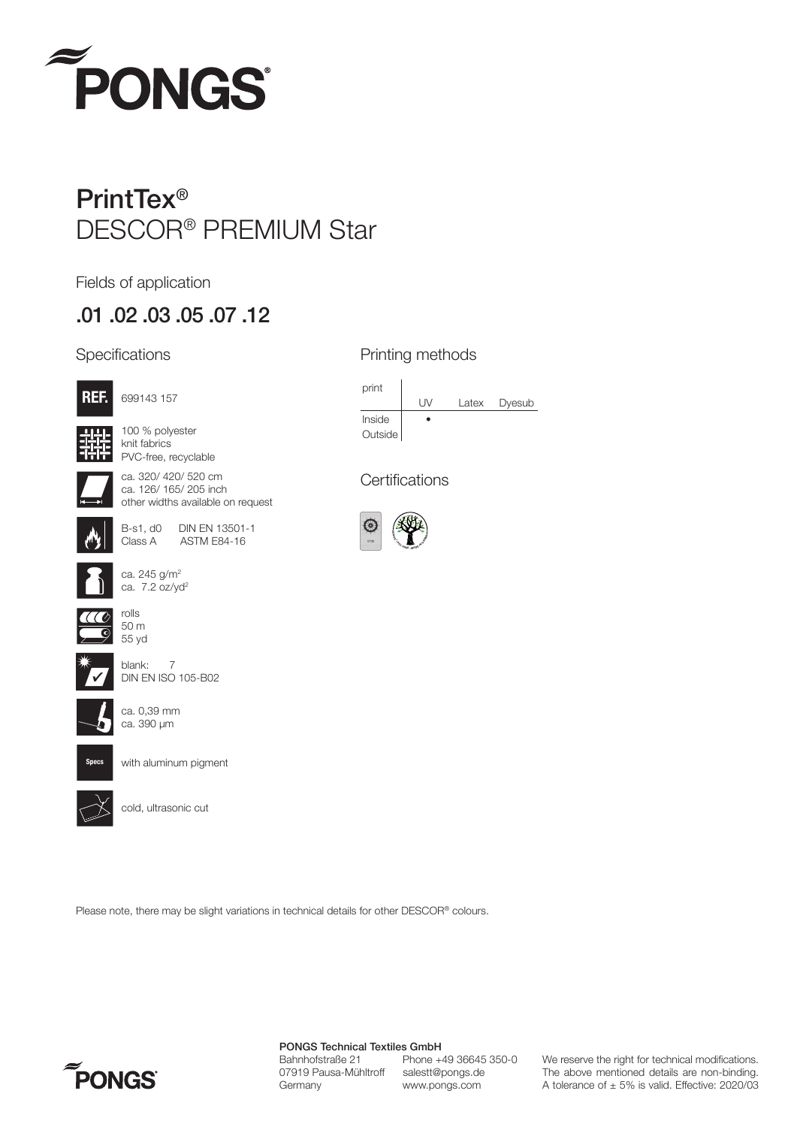

# PrintTex® DESCOR® PREMIUM Star

Fields of application

## .01 .02 .03 .05 .07 .12

#### **Specifications**



100 % polyester knit fabrics PVC-free, recyclable

699143 157



ca. 320/ 420/ 520 cm ca. 126/ 165/ 205 inch other widths available on request



B-s1, d0 DIN EN 13501-1<br>Class A ASTM E84-16 ASTM E84-16







blank: 7 DIN EN ISO 105-B02



ca. 0,39 mm ca. 390 µm

ca. 245 g/m2 ca. 7.2 oz/yd2



with aluminum pigment



cold, ultrasonic cut

#### Printing methods



#### **Certifications**



Please note, there may be slight variations in technical details for other DESCOR® colours.



PONGS Technical Textiles GmbH Bahnhofstraße 21 Phone +49 36645 350-0<br>07919 Pausa-Mühltroff salestt@pongs.de 07919 Pausa-Mühltroff Germany www.pongs.com

We reserve the right for technical modifications. The above mentioned details are non-binding. A tolerance of  $\pm$  5% is valid. Effective: 2020/03